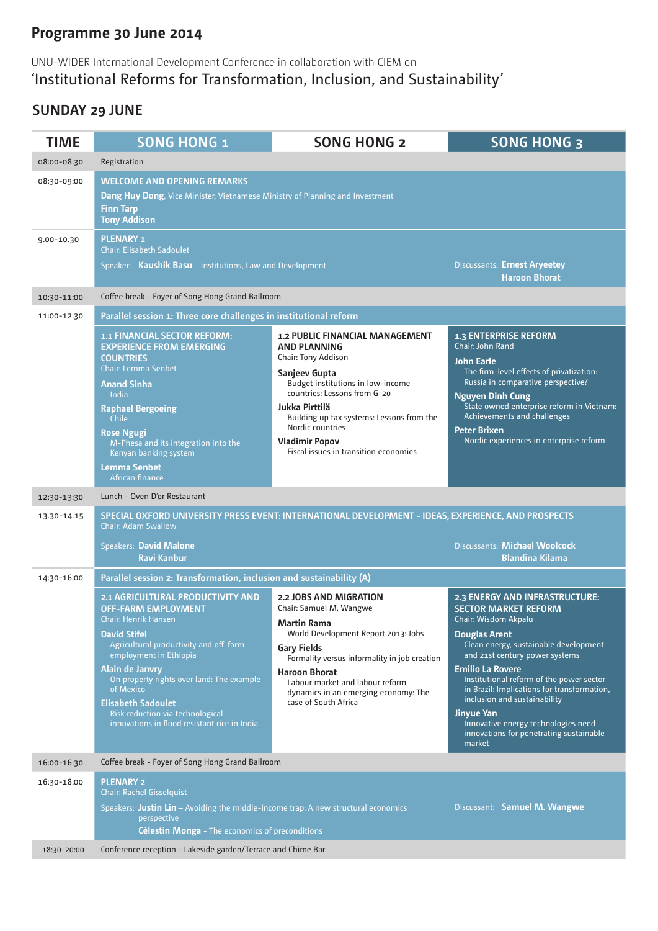# **Programme 30 June 2014**

### UNU-WIDER International Development Conference in collaboration with CIEM on 'Institutional Reforms for Transformation, Inclusion, and Sustainability'

### **sunday 29 June**

| <b>TIME</b> | <b>SONG HONG 1</b>                                                                                                                                                                                                                                                                                                                                                               | <b>SONG HONG 2</b>                                                                                                                                                                                                                                                                                                                     | <b>SONG HONG 3</b>                                                                                                                                                                                                                                                                                                                                                                                                                                              |  |  |
|-------------|----------------------------------------------------------------------------------------------------------------------------------------------------------------------------------------------------------------------------------------------------------------------------------------------------------------------------------------------------------------------------------|----------------------------------------------------------------------------------------------------------------------------------------------------------------------------------------------------------------------------------------------------------------------------------------------------------------------------------------|-----------------------------------------------------------------------------------------------------------------------------------------------------------------------------------------------------------------------------------------------------------------------------------------------------------------------------------------------------------------------------------------------------------------------------------------------------------------|--|--|
| 08:00-08:30 | Registration                                                                                                                                                                                                                                                                                                                                                                     |                                                                                                                                                                                                                                                                                                                                        |                                                                                                                                                                                                                                                                                                                                                                                                                                                                 |  |  |
| 08:30-09:00 | <b>WELCOME AND OPENING REMARKS</b><br><b>Dang Huy Dong</b> , Vice Minister, Vietnamese Ministry of Planning and Investment<br><b>Finn Tarp</b><br><b>Tony Addison</b>                                                                                                                                                                                                            |                                                                                                                                                                                                                                                                                                                                        |                                                                                                                                                                                                                                                                                                                                                                                                                                                                 |  |  |
| 9.00-10.30  | <b>PLENARY 1</b><br><b>Chair: Elisabeth Sadoulet</b><br>Speaker: Kaushik Basu - Institutions, Law and Development                                                                                                                                                                                                                                                                |                                                                                                                                                                                                                                                                                                                                        | <b>Discussants: Ernest Aryeetey</b><br><b>Haroon Bhorat</b>                                                                                                                                                                                                                                                                                                                                                                                                     |  |  |
| 10:30-11:00 | Coffee break - Foyer of Song Hong Grand Ballroom                                                                                                                                                                                                                                                                                                                                 |                                                                                                                                                                                                                                                                                                                                        |                                                                                                                                                                                                                                                                                                                                                                                                                                                                 |  |  |
| 11:00-12:30 | Parallel session 1: Three core challenges in institutional reform                                                                                                                                                                                                                                                                                                                |                                                                                                                                                                                                                                                                                                                                        |                                                                                                                                                                                                                                                                                                                                                                                                                                                                 |  |  |
|             | 1.1 FINANCIAL SECTOR REFORM:<br><b>EXPERIENCE FROM EMERGING</b><br><b>COUNTRIES</b><br><b>Chair: Lemma Senbet</b><br><b>Anand Sinha</b><br>India<br><b>Raphael Bergoeing</b><br>Chile<br><b>Rose Ngugi</b><br>M-Phesa and its integration into the<br>Kenyan banking system<br><b>Lemma Senbet</b><br>African finance                                                            | <b>1.2 PUBLIC FINANCIAL MANAGEMENT</b><br><b>AND PLANNING</b><br><b>Chair: Tony Addison</b><br>Sanjeev Gupta<br>Budget institutions in low-income<br>countries: Lessons from G-20<br>Jukka Pirttilä<br>Building up tax systems: Lessons from the<br>Nordic countries<br><b>Vladimir Popov</b><br>Fiscal issues in transition economies | <b>1.3 ENTERPRISE REFORM</b><br>Chair: John Rand<br><b>John Earle</b><br>The firm-level effects of privatization:<br>Russia in comparative perspective?<br><b>Nguyen Dinh Cung</b><br>State owned enterprise reform in Vietnam:<br>Achievements and challenges<br><b>Peter Brixen</b><br>Nordic experiences in enterprise reform                                                                                                                                |  |  |
| 12:30-13:30 | Lunch - Oven D'or Restaurant                                                                                                                                                                                                                                                                                                                                                     |                                                                                                                                                                                                                                                                                                                                        |                                                                                                                                                                                                                                                                                                                                                                                                                                                                 |  |  |
| 13.30-14.15 | SPECIAL OXFORD UNIVERSITY PRESS EVENT: INTERNATIONAL DEVELOPMENT - IDEAS, EXPERIENCE, AND PROSPECTS<br><b>Chair: Adam Swallow</b><br><b>Discussants: Michael Woolcock</b><br><b>Speakers: David Malone</b><br><b>Ravi Kanbur</b><br><b>Blandina Kilama</b>                                                                                                                       |                                                                                                                                                                                                                                                                                                                                        |                                                                                                                                                                                                                                                                                                                                                                                                                                                                 |  |  |
| 14:30-16:00 | Parallel session 2: Transformation, inclusion and sustainability (A)                                                                                                                                                                                                                                                                                                             |                                                                                                                                                                                                                                                                                                                                        |                                                                                                                                                                                                                                                                                                                                                                                                                                                                 |  |  |
|             | 2.1 AGRICULTURAL PRODUCTIVITY AND<br><b>OFF-FARM EMPLOYMENT</b><br>Chair: Henrik Hansen<br><b>David Stifel</b><br>Agricultural productivity and off-farm<br>employment in Ethiopia<br>Alain de Janvry<br>On property rights over land: The example<br>of Mexico<br><b>Elisabeth Sadoulet</b><br>Risk reduction via technological<br>innovations in flood resistant rice in India | 2.2 JOBS AND MIGRATION<br>Chair: Samuel M. Wangwe<br><b>Martin Rama</b><br>World Development Report 2013: Jobs<br><b>Gary Fields</b><br>Formality versus informality in job creation<br><b>Haroon Bhorat</b><br>Labour market and labour reform<br>dynamics in an emerging economy: The<br>case of South Africa                        | 2.3 ENERGY AND INFRASTRUCTURE:<br><b>SECTOR MARKET REFORM</b><br>Chair: Wisdom Akpalu<br><b>Douglas Arent</b><br>Clean energy, sustainable development<br>and 21st century power systems<br><b>Emilio La Rovere</b><br>Institutional reform of the power sector<br>in Brazil: Implications for transformation,<br>inclusion and sustainability<br><b>Jinyue Yan</b><br>Innovative energy technologies need<br>innovations for penetrating sustainable<br>market |  |  |
| 16:00-16:30 | Coffee break - Foyer of Song Hong Grand Ballroom                                                                                                                                                                                                                                                                                                                                 |                                                                                                                                                                                                                                                                                                                                        |                                                                                                                                                                                                                                                                                                                                                                                                                                                                 |  |  |
| 16:30-18:00 | <b>PLENARY 2</b><br><b>Chair: Rachel Gisselquist</b><br>Discussant: Samuel M. Wangwe<br>Speakers: Justin Lin - Avoiding the middle-income trap: A new structural economics<br>perspective<br><b>Célestin Monga</b> - The economics of preconditions                                                                                                                              |                                                                                                                                                                                                                                                                                                                                        |                                                                                                                                                                                                                                                                                                                                                                                                                                                                 |  |  |
| 18:30-20:00 | Conference reception - Lakeside garden/Terrace and Chime Bar                                                                                                                                                                                                                                                                                                                     |                                                                                                                                                                                                                                                                                                                                        |                                                                                                                                                                                                                                                                                                                                                                                                                                                                 |  |  |